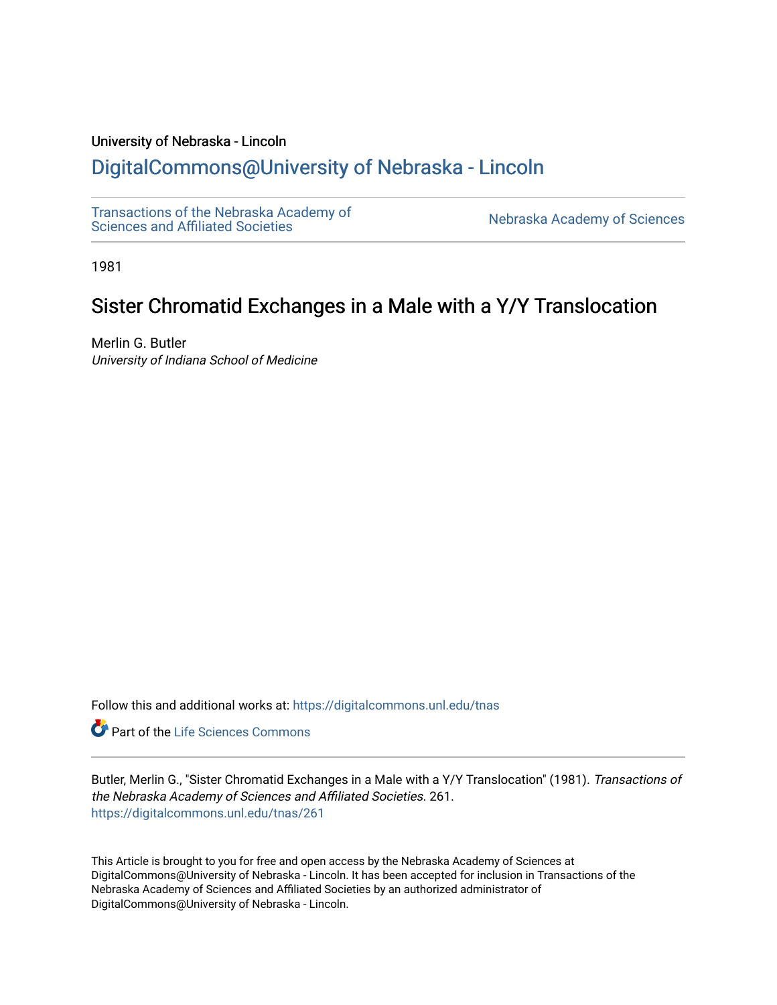### University of Nebraska - Lincoln

# [DigitalCommons@University of Nebraska - Lincoln](https://digitalcommons.unl.edu/)

[Transactions of the Nebraska Academy of](https://digitalcommons.unl.edu/tnas)  Transactions of the Nebraska Academy of Sciences<br>Sciences and Affiliated Societies

1981

# Sister Chromatid Exchanges in a Male with a Y/Y Translocation

Merlin G. Butler University of Indiana School of Medicine

Follow this and additional works at: [https://digitalcommons.unl.edu/tnas](https://digitalcommons.unl.edu/tnas?utm_source=digitalcommons.unl.edu%2Ftnas%2F261&utm_medium=PDF&utm_campaign=PDFCoverPages) 

**Part of the Life Sciences Commons** 

Butler, Merlin G., "Sister Chromatid Exchanges in a Male with a Y/Y Translocation" (1981). Transactions of the Nebraska Academy of Sciences and Affiliated Societies. 261. [https://digitalcommons.unl.edu/tnas/261](https://digitalcommons.unl.edu/tnas/261?utm_source=digitalcommons.unl.edu%2Ftnas%2F261&utm_medium=PDF&utm_campaign=PDFCoverPages) 

This Article is brought to you for free and open access by the Nebraska Academy of Sciences at DigitalCommons@University of Nebraska - Lincoln. It has been accepted for inclusion in Transactions of the Nebraska Academy of Sciences and Affiliated Societies by an authorized administrator of DigitalCommons@University of Nebraska - Lincoln.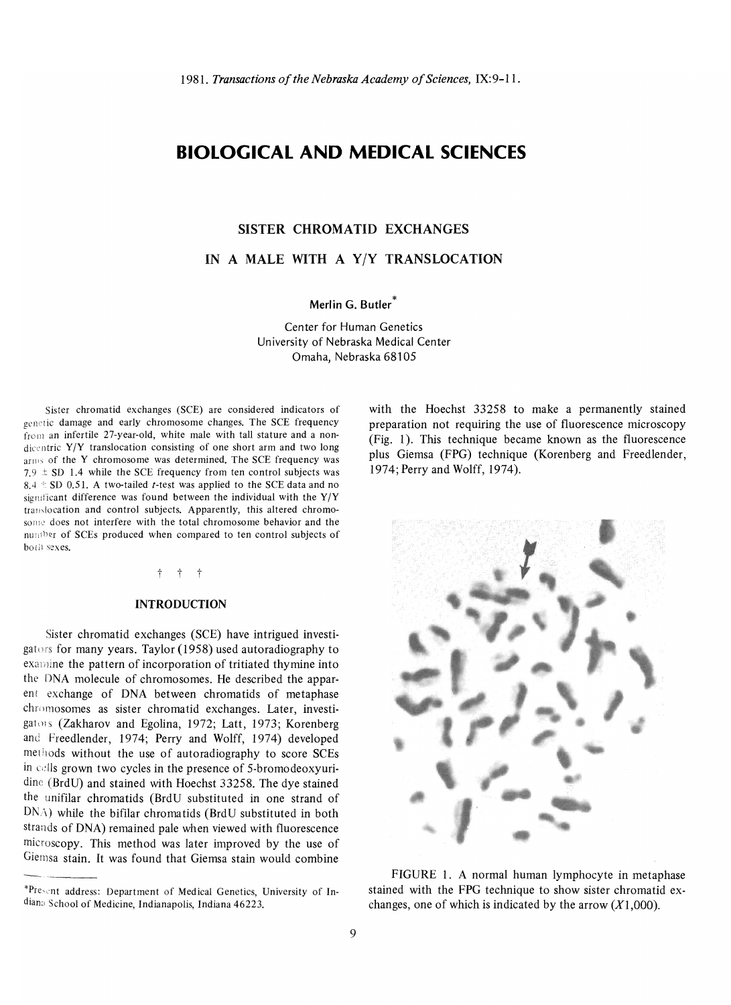## **BIOLOGICAL AND MEDICAL SCIENCES**

#### **SISTER CHROMATID EXCHANGES**

IN A MALE WITH A Y/Y TRANSLOCATION

**Merl in G. Butler \*** 

Center for Human Genetics University of Nebraska Medical Center Omaha, Nebraska 68105

Sister chromatid exchanges (SCE) are considered indicators of genetic damage and early chromosome changes. The SCE frequency from an infertile 27-year-old, white male with tall stature and a nondicentric  $Y/Y$  translocation consisting of one short arm and two long  $\frac{1}{2}$  of the V chromosome was determined. The SCE frequency was  $\frac{1}{2}$  $\frac{1015}{100}$  of the Y chromosome was determined. The SCE frequency was<br> $\frac{100}{100}$  + CD 1.4, while the SCE frequency from ten control subjects was 7.9  $\pm$  SD 1.4 while the SCE frequency from ten control subjects was 8.4  $\pm$  SD 0.51. A two-tailed *t*-test was applied to the SCE data and no significant difference was found between the individual with the  $Y/Y$ translocation and control subjects. Apparently, this altered chromosome does not interfere with the total chromosome behavior and the number of SCEs produced when compared to ten control subjects of both sexes.

 $t + t$ 

#### **INTRODUCTION**

Sister chromatid exchanges (SCE) have intrigued investigators for many years. Taylor (1958) used autoradiography to examine the pattern of incorporation of tritiated thymine into the DNA molecule of chromosomes. He described the apparent exchange of DNA between chromatids of metaphase chromosomes as sister chromatid exchanges. Later, investigators (Zakharov and Egolina, 1972; Latt, 1973; Korenberg and Freedlender, 1974; Perry and Wolff, 1974) developed methods without the use of autoradiography to score SCEs in cells grown two cycles in the presence of 5-bromodeoxyuridine (BrdU) and stained with Hoechst 33258. The dye stained the unifilar chromatids (BrdU substituted in one strand of  $DN_A$ ) while the bifilar chromatids (BrdU substituted in both strands of DNA) remained pale when viewed with fluorescence microscopy. This method was later improved by the use of Giernsa stain. It was found that Giemsa stain would combine with the Hoechst 33258 to make a permanently stained preparation not requiring the use of fluorescence microscopy (Fig. 1). This technique became known as the fluorescence plus Giemsa (FPG) technique (Korenberg and Freedlender, 1974; Perry and Wolff, 1974).



FIGURE 1. A normal human lymphocyte in metaphase stained with the FPG technique to show sister chromatid exchanges, one of which is indicated by the arrow  $(X1,000)$ .

<sup>\*</sup>Present address: Department of Medical Genetics, University of Indians School of Medicine, Indianapolis, Indiana 46223.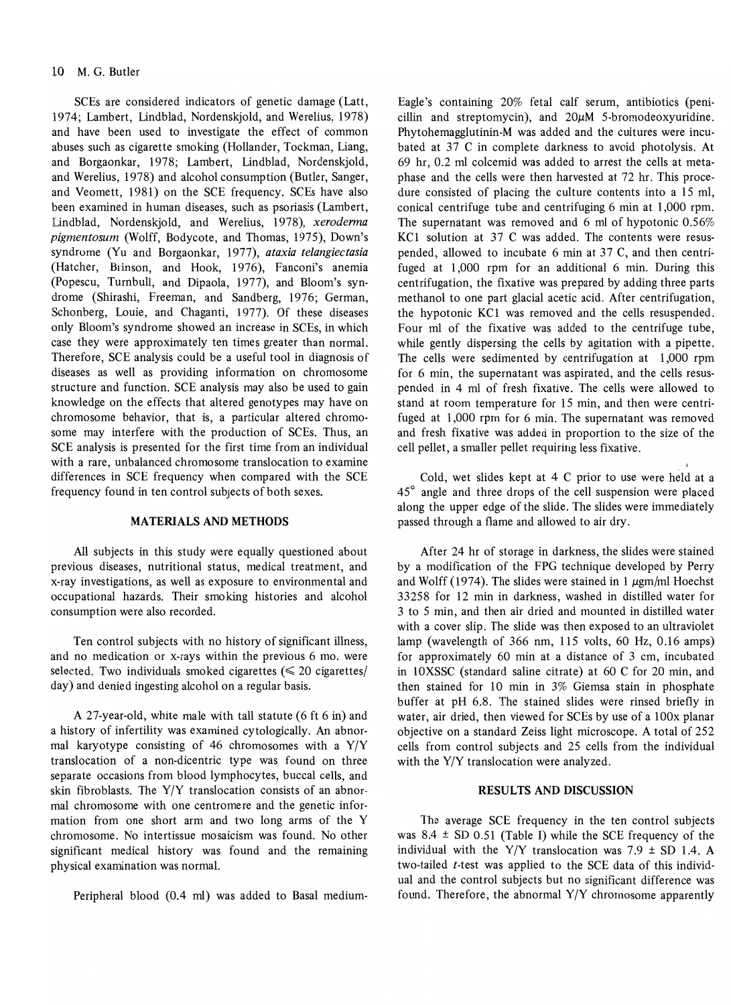SCEs are considered indicators of genetic damage (Latt, 1974; Lambert, Lindblad, Nordenskjold, and Werelius, 1978) and have been used to investigate the effect of common abuses such as cigarette smoking (Hollander, Tockman, Liang, and Borgaonkar, 1978; Lambert, Lindblad, Nordenskjold, and Werelius, 1978) and alcohol consumption (Butler, Sanger, and Veomett, 1981) on the SCE frequency. SCEs have also been examined in human diseases, such as psoriasis (Lambert, Lindblad, Nordenskjold, and Werelius, 1978), *xerodenna pigmentosum* (Wolff, Bodycote, and Thomas, 1975), Down's syndrome (Yu and Borgaonkar, 1977), *ataxia telangiectasia*  (Hatcher, Brinson, and Hook, 1976), Fanconi's anemia (Popescu, Turnbull, and Dipaola, 1977), and Bloom's syndrome (Shirashi, Freeman, and Sandberg, 1976; German, Schonberg, Louie, and Chaganti, 1977). Of these diseases only Bloom's syndrome showed an increase in SCEs, in which case they were approximately ten times greater than normal. Therefore, SCE analysis could be a useful tool in diagnosis of diseases as well as providing information on chromosome structure and function. SCE analysis may also be used to gain knowledge on the effects that altered genotypes may have on chromosome behavior, that is, a particular altered chromosome may interfere with the production of SCEs. Thus, an SCE analysis is presented for the first time from an individual with a rare, unbalanced chromosome translocation to examine differences in SCE frequency when compared with the SCE frequency found in ten control subjects of both sexes.

### MATERIALS AND METHODS

All subjects in this study were equally questioned about previous diseases, nutritional status, medical treatment, and x-ray investigations, as well as exposure to environmental and occupational hazards. Their smoking histories and alcohol consumption were also recorded.

Ten control subjects with no history of significant illness, and no medication or x-rays within the previous 6 mo. were selected. Two individuals smoked cigarettes  $(\leq 20 \text{ eigen}$ day) and denied ingesting alcohol on a regular basis.

A 27-year-old, white male with tall statute (6 ft 6 in) and a history of infertility was examined cytologically. An abnormal karyotype consisting of 46 chromosomes with a Y/Y translocation of a non-dicentric type was found on three separate occasions from blood lymphocytes, buccal cells, and skin fibroblasts. The Y/Y translocation consists of an abnormal chromosome with one centromere and the genetic information from one short arm and two long arms of the Y chromosome. No intertissue mosaicism was found. No other significant medical history was found and the remaining physical examination was normal.

Peripheral blood (0.4 ml) was added to Basal medium-

Eagle's containing 20% fetal calf serum, antibiotics (penicillin and streptomycin), and  $20\mu$ M 5-bromodeoxyuridine. Phytohemagglutinin-M was added and the cultures were incubated at 37 C in complete darkness to avoid photolysis. At 69 hr, 0.2 ml colcemid was added to arrest the cells at metaphase and the cells were then harvested at 72 hr. This procedure consisted of placing the culture contents into a 15 ml, conical centrifuge tube and centrifuging 6 min at 1,000 rpm. The supernatant was removed and 6 ml of hypotonic 0.56% KC1 solution at 37 C was added. The contents were resuspended, allowed to incubate 6 min at 37 C, and then centrifuged at 1,000 rpm for an additional 6 min. During this centrifugation, the fixative was prepared by adding three parts methanol to one part glacial acetic acid. After centrifugation, the hypotonic KC1 was removed and the cells resuspended. Four ml of the fixative was added to the centrifuge tube, while gently dispersing the cells by agitation with a pipette. The cells were sedimented by centrifugation at 1,000 rpm for 6 min, the supernatant was aspirated, and the cells resuspended in 4 rn1 of fresh fixative. The cells were allowed to stand at room temperature for 15 min, and then were centrifuged at 1,000 rpm for 6 min. The supernatant was removed and fresh fixative was added in proportion to the size of the cell pellet, a smaller pellet requiring less fixative.

Cold, wet slides kept at 4 C prior to use were held at a 45° angle and three drops of the cell suspension were placed along the upper edge of the slide. The slides were immediately passed through a flame and allowed to air dry.

After 24 hr of storage in darkness, the slides were stained by a modification of the FPG technique developed by Perry and Wolff (1974). The slides were stained in 1  $\mu$ gm/ml Hoechst 33258 for 12 min in darkness, washed in distilled water for 3 to 5 min, and then air dried and mounted in distilled water with a cover slip. The slide was then exposed to an ultraviolet lamp (wavelength of 366 nm, 115 volts, 60 Hz, 0.16 amps) for approximately 60 min at a distance of 3 cm, incubated in lOXSSC (standard saline citrate) at 60 C for 20 min, and then stained for 10 min in 3% Giemsa stain in phosphate buffer at pH 6.8. The stained slides were rinsed briefly in water, air dried, then viewed for SCEs by use of a lOOx planar objective on a standard Zeiss light microscope. A total of 252 cells from control subjects and 25 cells from the individual with the Y/Y translocation were analyzed.

#### RESULTS AND DISCUSSION

The average SCE frequency in the ten control subjects was  $8.4 \pm SD$  0.51 (Table I) while the SCE frequency of the individual with the Y/Y translocation was  $7.9 \pm SD$  1.4. A two-tailed *t-test* was applied to the SCE data of this individual and the control subjects but no significant difference was found. Therefore, the abnormal Y/Y chromosome apparently